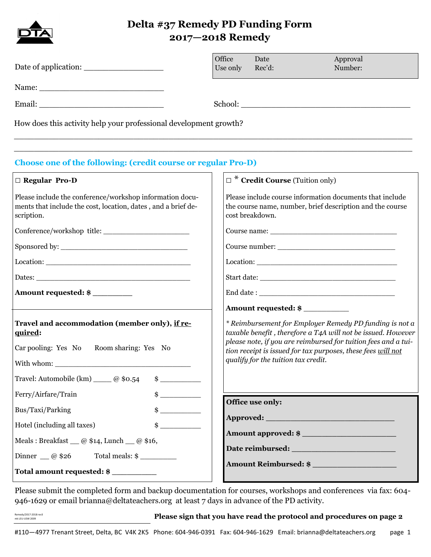

## **Delta #37 Remedy PD Funding Form 2017—2018 Remedy**

|                                                                                                                                                                     | Office<br>Use only | Date<br>Rec'd:                                                                                                                                                                                                                                                                                   | Approval<br>Number:   |  |
|---------------------------------------------------------------------------------------------------------------------------------------------------------------------|--------------------|--------------------------------------------------------------------------------------------------------------------------------------------------------------------------------------------------------------------------------------------------------------------------------------------------|-----------------------|--|
|                                                                                                                                                                     |                    |                                                                                                                                                                                                                                                                                                  |                       |  |
|                                                                                                                                                                     |                    |                                                                                                                                                                                                                                                                                                  |                       |  |
| How does this activity help your professional development growth?                                                                                                   |                    |                                                                                                                                                                                                                                                                                                  |                       |  |
| <b>Choose one of the following: (credit course or regular Pro-D)</b>                                                                                                |                    |                                                                                                                                                                                                                                                                                                  |                       |  |
| $\Box$ Regular Pro-D                                                                                                                                                |                    | $\Box^*$ Credit Course (Tuition only)                                                                                                                                                                                                                                                            |                       |  |
| Please include the conference/workshop information docu-<br>ments that include the cost, location, dates, and a brief de-<br>scription.                             |                    | Please include course information documents that include<br>the course name, number, brief description and the course<br>cost breakdown.                                                                                                                                                         |                       |  |
|                                                                                                                                                                     |                    |                                                                                                                                                                                                                                                                                                  |                       |  |
|                                                                                                                                                                     |                    |                                                                                                                                                                                                                                                                                                  |                       |  |
|                                                                                                                                                                     |                    |                                                                                                                                                                                                                                                                                                  |                       |  |
|                                                                                                                                                                     |                    |                                                                                                                                                                                                                                                                                                  |                       |  |
| Amount requested: \$                                                                                                                                                |                    |                                                                                                                                                                                                                                                                                                  |                       |  |
|                                                                                                                                                                     |                    | Amount requested: \$                                                                                                                                                                                                                                                                             |                       |  |
| Travel and accommodation (member only), if re-<br>quired:<br>Car pooling: Yes No<br>Room sharing: Yes No<br>Travel: Automobile (km) _____ @ \$0.54<br>$\frac{1}{2}$ |                    | * Reimbursement for Employer Remedy PD funding is not a<br>taxable benefit, therefore a T4A will not be issued. However<br>please note, if you are reimbursed for tuition fees and a tui-<br>tion receipt is issued for tax purposes, these fees will not<br>qualify for the tuition tax credit. |                       |  |
| $\frac{1}{2}$<br>Ferry/Airfare/Train                                                                                                                                |                    | Office use only:                                                                                                                                                                                                                                                                                 |                       |  |
| $\frac{1}{2}$<br>Bus/Taxi/Parking                                                                                                                                   |                    |                                                                                                                                                                                                                                                                                                  |                       |  |
| $\frac{1}{2}$<br>Hotel (including all taxes)                                                                                                                        |                    |                                                                                                                                                                                                                                                                                                  | Amount approved: \$   |  |
| Meals: Breakfast $\_\_$ @ \$14, Lunch $\_\_$ @ \$16,                                                                                                                |                    |                                                                                                                                                                                                                                                                                                  |                       |  |
| Dinner $\_\_$ @ \$26<br>Total meals: \$                                                                                                                             |                    |                                                                                                                                                                                                                                                                                                  | Amount Reimbursed: \$ |  |
| Total amount requested: \$                                                                                                                                          |                    |                                                                                                                                                                                                                                                                                                  |                       |  |

Please submit the completed form and backup documentation for courses, workshops and conferences via fax: 604- 946-1629 or email brianna@deltateachers.org at least 7 days in advance of the PD activity.

#### **Please sign that you have read the protocol and procedures on page 2**